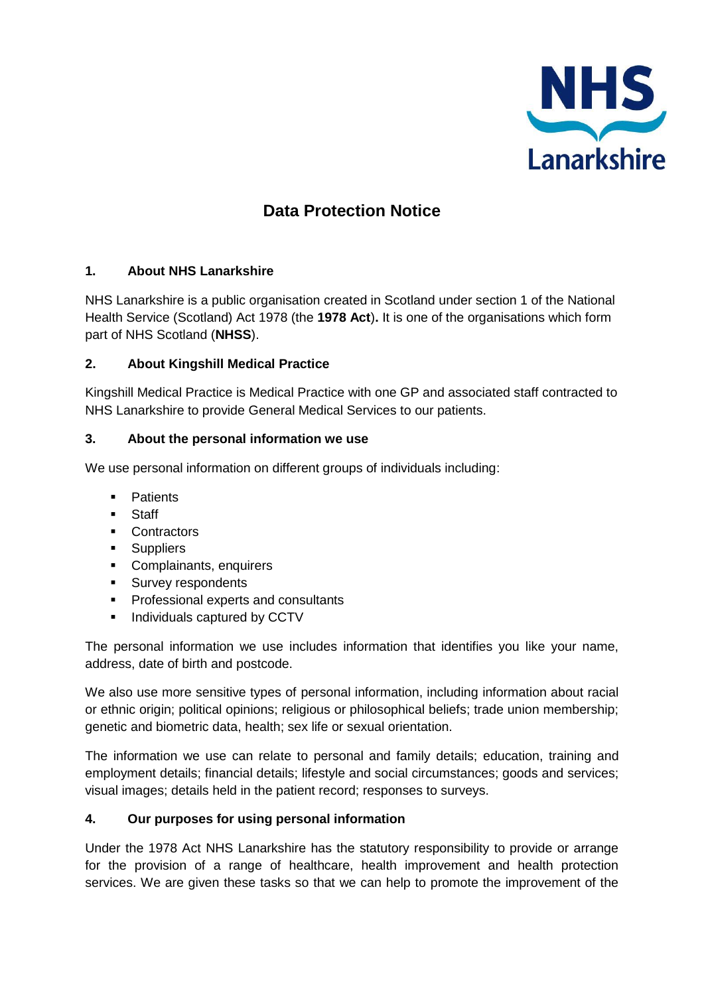

# **Data Protection Notice**

## **1. About NHS Lanarkshire**

NHS Lanarkshire is a public organisation created in Scotland under section 1 of the National Health Service (Scotland) Act 1978 (the **1978 Act**)**.** It is one of the organisations which form part of NHS Scotland (**NHSS**).

### **2. About Kingshill Medical Practice**

Kingshill Medical Practice is Medical Practice with one GP and associated staff contracted to NHS Lanarkshire to provide General Medical Services to our patients.

### **3. About the personal information we use**

We use personal information on different groups of individuals including:

- **•** Patients
- **Staff**
- **Contractors**
- **Suppliers**
- **Complainants, enquirers**
- **Survey respondents**
- Professional experts and consultants
- Individuals captured by CCTV

The personal information we use includes information that identifies you like your name, address, date of birth and postcode.

We also use more sensitive types of personal information, including information about racial or ethnic origin; political opinions; religious or philosophical beliefs; trade union membership; genetic and biometric data, health; sex life or sexual orientation.

The information we use can relate to personal and family details; education, training and employment details; financial details; lifestyle and social circumstances; goods and services; visual images; details held in the patient record; responses to surveys.

#### **4. Our purposes for using personal information**

Under the 1978 Act NHS Lanarkshire has the statutory responsibility to provide or arrange for the provision of a range of healthcare, health improvement and health protection services. We are given these tasks so that we can help to promote the improvement of the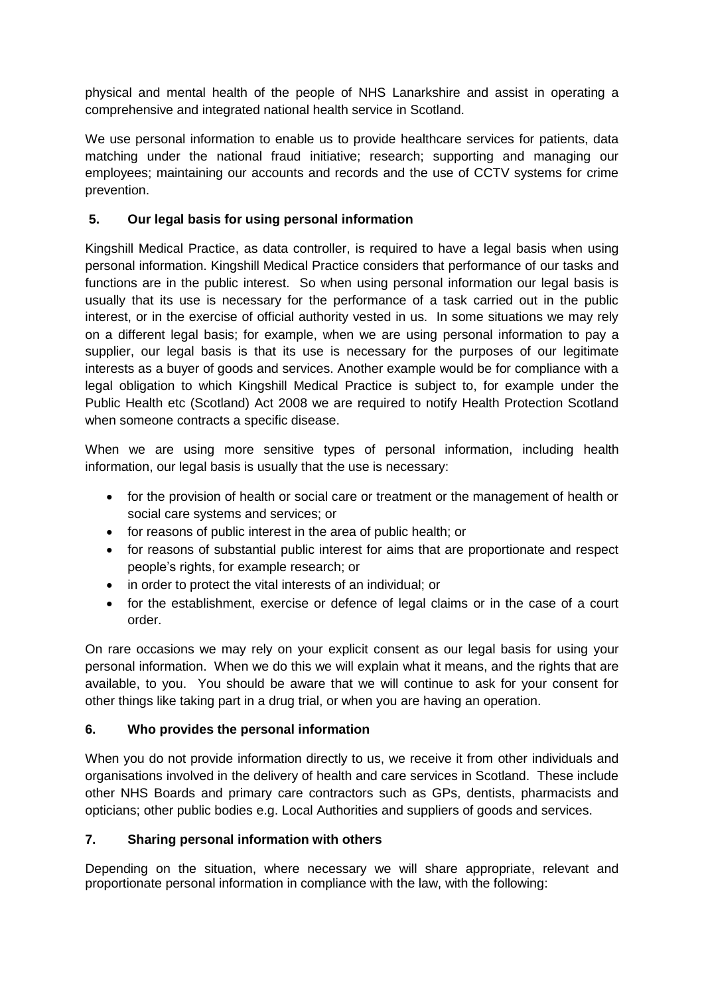physical and mental health of the people of NHS Lanarkshire and assist in operating a comprehensive and integrated national health service in Scotland.

We use personal information to enable us to provide healthcare services for patients, data matching under the national fraud initiative; research; supporting and managing our employees; maintaining our accounts and records and the use of CCTV systems for crime prevention.

## **5. Our legal basis for using personal information**

Kingshill Medical Practice, as data controller, is required to have a legal basis when using personal information. Kingshill Medical Practice considers that performance of our tasks and functions are in the public interest. So when using personal information our legal basis is usually that its use is necessary for the performance of a task carried out in the public interest, or in the exercise of official authority vested in us. In some situations we may rely on a different legal basis; for example, when we are using personal information to pay a supplier, our legal basis is that its use is necessary for the purposes of our legitimate interests as a buyer of goods and services. Another example would be for compliance with a legal obligation to which Kingshill Medical Practice is subject to, for example under the Public Health etc (Scotland) Act 2008 we are required to notify Health Protection Scotland when someone contracts a specific disease.

When we are using more sensitive types of personal information, including health information, our legal basis is usually that the use is necessary:

- for the provision of health or social care or treatment or the management of health or social care systems and services; or
- for reasons of public interest in the area of public health; or
- for reasons of substantial public interest for aims that are proportionate and respect people's rights, for example research; or
- in order to protect the vital interests of an individual: or
- for the establishment, exercise or defence of legal claims or in the case of a court order.

On rare occasions we may rely on your explicit consent as our legal basis for using your personal information. When we do this we will explain what it means, and the rights that are available, to you. You should be aware that we will continue to ask for your consent for other things like taking part in a drug trial, or when you are having an operation.

## **6. Who provides the personal information**

When you do not provide information directly to us, we receive it from other individuals and organisations involved in the delivery of health and care services in Scotland. These include other NHS Boards and primary care contractors such as GPs, dentists, pharmacists and opticians; other public bodies e.g. Local Authorities and suppliers of goods and services.

## **7. Sharing personal information with others**

Depending on the situation, where necessary we will share appropriate, relevant and proportionate personal information in compliance with the law, with the following: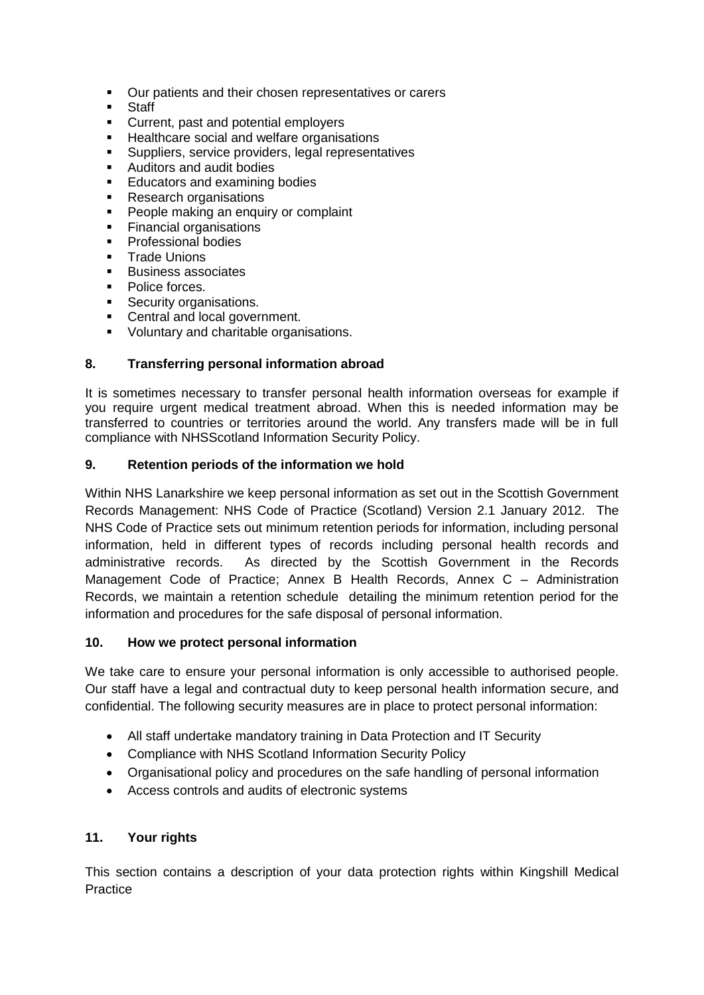- Our patients and their chosen representatives or carers
- **Staff**
- Current, past and potential employers
- Healthcare social and welfare organisations<br>Runnliers service providers legal represent
- Suppliers, service providers, legal representatives
- Auditors and audit bodies
- **Educators and examining bodies**
- **Research organisations**
- **People making an enquiry or complaint**
- **Financial organisations**
- **Professional bodies**
- **Trade Unions**
- Business associates
- Police forces.
- **Security organisations.**
- **Central and local government.**
- **Voluntary and charitable organisations.**

### **8. Transferring personal information abroad**

It is sometimes necessary to transfer personal health information overseas for example if you require urgent medical treatment abroad. When this is needed information may be transferred to countries or territories around the world. Any transfers made will be in full compliance with NHSScotland Information Security Policy.

#### **9. Retention periods of the information we hold**

Within NHS Lanarkshire we keep personal information as set out in the Scottish Government Records Management: NHS Code of Practice (Scotland) Version 2.1 January 2012. The NHS Code of Practice sets out minimum retention periods for information, including personal information, held in different types of records including personal health records and administrative records. As directed by the Scottish Government in the Records Management Code of Practice; Annex B Health Records, Annex C – Administration Records, we maintain a retention schedule detailing the minimum retention period for the information and procedures for the safe disposal of personal information.

#### **10. How we protect personal information**

We take care to ensure your personal information is only accessible to authorised people. Our staff have a legal and contractual duty to keep personal health information secure, and confidential. The following security measures are in place to protect personal information:

- All staff undertake mandatory training in Data Protection and IT Security
- Compliance with NHS Scotland Information Security Policy
- Organisational policy and procedures on the safe handling of personal information
- Access controls and audits of electronic systems

## **11. Your rights**

This section contains a description of your data protection rights within Kingshill Medical **Practice**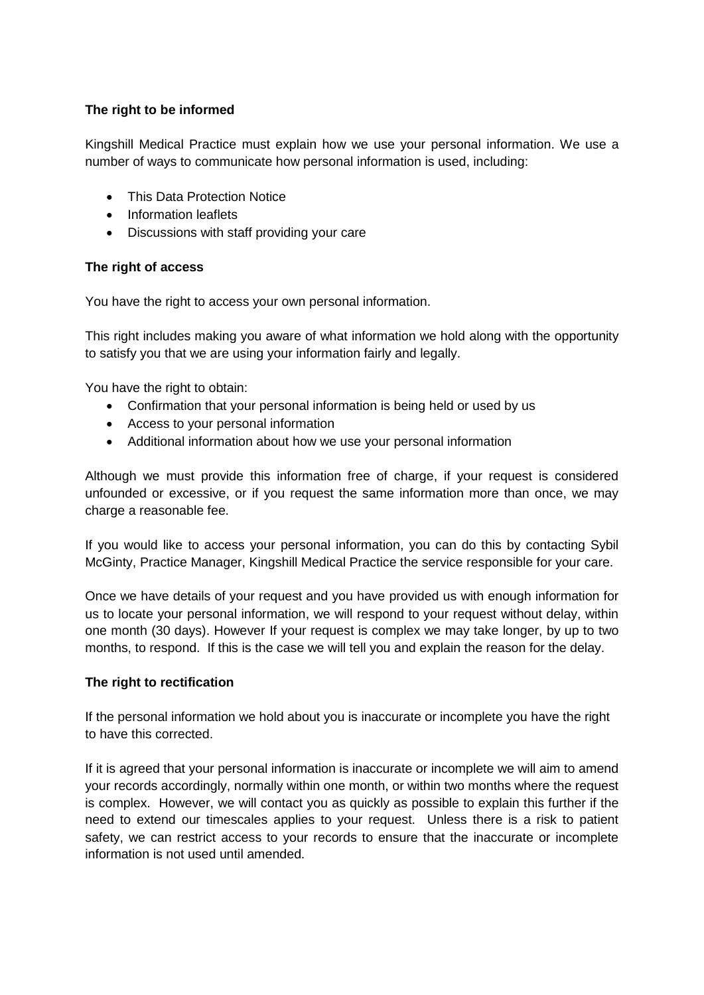### **The right to be informed**

Kingshill Medical Practice must explain how we use your personal information. We use a number of ways to communicate how personal information is used, including:

- This Data Protection Notice
- Information leaflets
- Discussions with staff providing your care

#### **The right of access**

You have the right to access your own personal information.

This right includes making you aware of what information we hold along with the opportunity to satisfy you that we are using your information fairly and legally.

You have the right to obtain:

- Confirmation that your personal information is being held or used by us
- Access to your personal information
- Additional information about how we use your personal information

Although we must provide this information free of charge, if your request is considered unfounded or excessive, or if you request the same information more than once, we may charge a reasonable fee.

If you would like to access your personal information, you can do this by contacting Sybil McGinty, Practice Manager, Kingshill Medical Practice the service responsible for your care.

Once we have details of your request and you have provided us with enough information for us to locate your personal information, we will respond to your request without delay, within one month (30 days). However If your request is complex we may take longer, by up to two months, to respond. If this is the case we will tell you and explain the reason for the delay.

#### **The right to rectification**

If the personal information we hold about you is inaccurate or incomplete you have the right to have this corrected.

If it is agreed that your personal information is inaccurate or incomplete we will aim to amend your records accordingly, normally within one month, or within two months where the request is complex. However, we will contact you as quickly as possible to explain this further if the need to extend our timescales applies to your request. Unless there is a risk to patient safety, we can restrict access to your records to ensure that the inaccurate or incomplete information is not used until amended.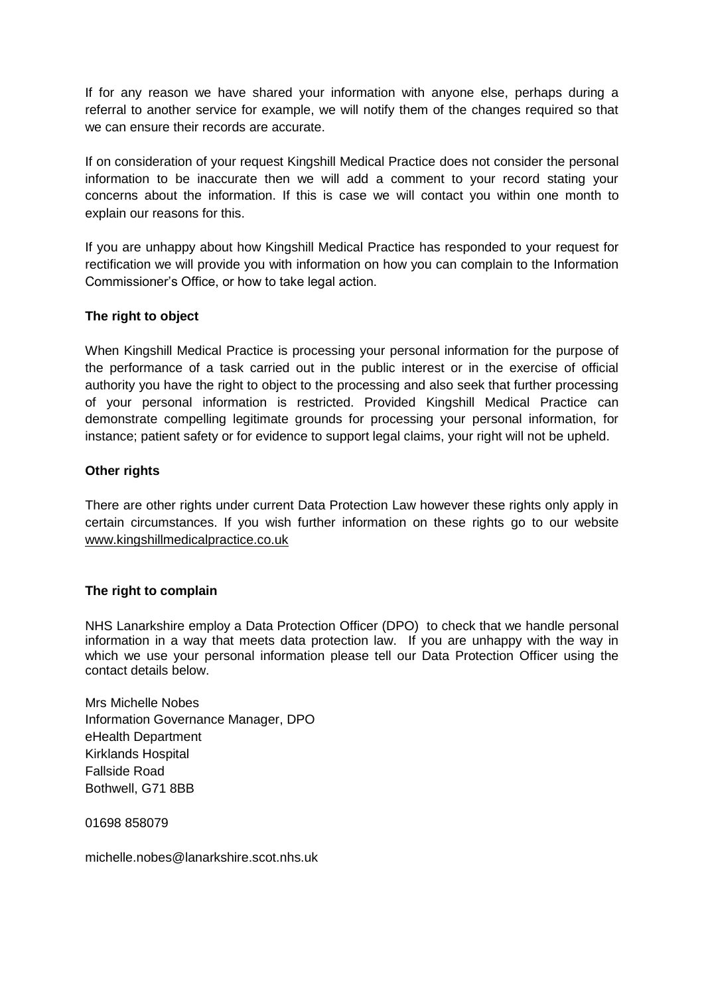If for any reason we have shared your information with anyone else, perhaps during a referral to another service for example, we will notify them of the changes required so that we can ensure their records are accurate.

If on consideration of your request Kingshill Medical Practice does not consider the personal information to be inaccurate then we will add a comment to your record stating your concerns about the information. If this is case we will contact you within one month to explain our reasons for this.

If you are unhappy about how Kingshill Medical Practice has responded to your request for rectification we will provide you with information on how you can complain to the Information Commissioner's Office, or how to take legal action.

### **The right to object**

When Kingshill Medical Practice is processing your personal information for the purpose of the performance of a task carried out in the public interest or in the exercise of official authority you have the right to object to the processing and also seek that further processing of your personal information is restricted. Provided Kingshill Medical Practice can demonstrate compelling legitimate grounds for processing your personal information, for instance; patient safety or for evidence to support legal claims, your right will not be upheld.

#### **Other rights**

There are other rights under current Data Protection Law however these rights only apply in certain circumstances. If you wish further information on these rights go to our website www.kingshillmedicalpractice.co.uk

#### **The right to complain**

NHS Lanarkshire employ a Data Protection Officer (DPO) to check that we handle personal information in a way that meets data protection law. If you are unhappy with the way in which we use your personal information please tell our Data Protection Officer using the contact details below.

Mrs Michelle Nobes Information Governance Manager, DPO eHealth Department Kirklands Hospital Fallside Road Bothwell, G71 8BB

01698 858079

michelle.nobes@lanarkshire.scot.nhs.uk